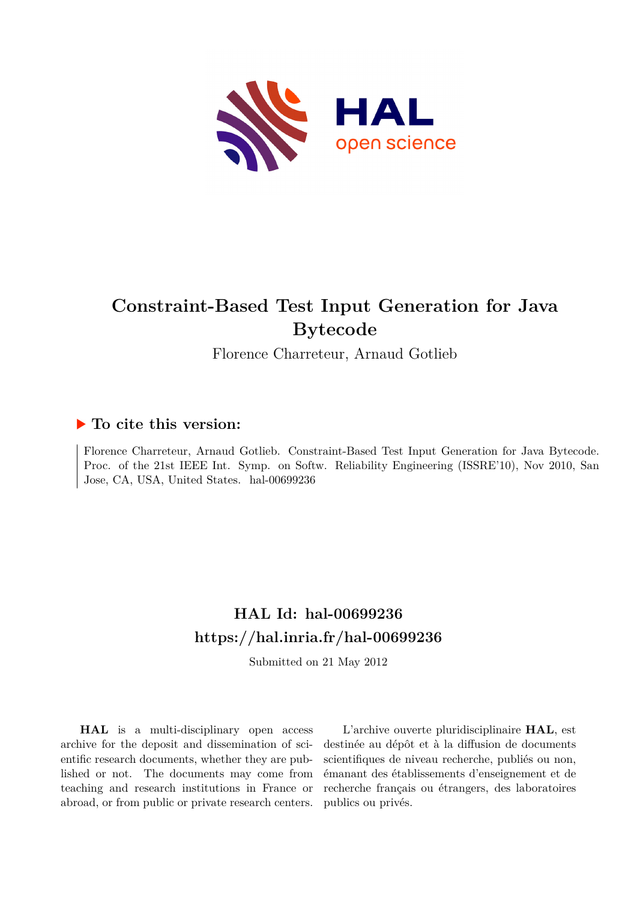

# **Constraint-Based Test Input Generation for Java Bytecode**

Florence Charreteur, Arnaud Gotlieb

### **To cite this version:**

Florence Charreteur, Arnaud Gotlieb. Constraint-Based Test Input Generation for Java Bytecode. Proc. of the 21st IEEE Int. Symp. on Softw. Reliability Engineering (ISSRE'10), Nov 2010, San Jose, CA, USA, United States. hal-00699236

## **HAL Id: hal-00699236 <https://hal.inria.fr/hal-00699236>**

Submitted on 21 May 2012

**HAL** is a multi-disciplinary open access archive for the deposit and dissemination of scientific research documents, whether they are published or not. The documents may come from teaching and research institutions in France or abroad, or from public or private research centers.

L'archive ouverte pluridisciplinaire **HAL**, est destinée au dépôt et à la diffusion de documents scientifiques de niveau recherche, publiés ou non, émanant des établissements d'enseignement et de recherche français ou étrangers, des laboratoires publics ou privés.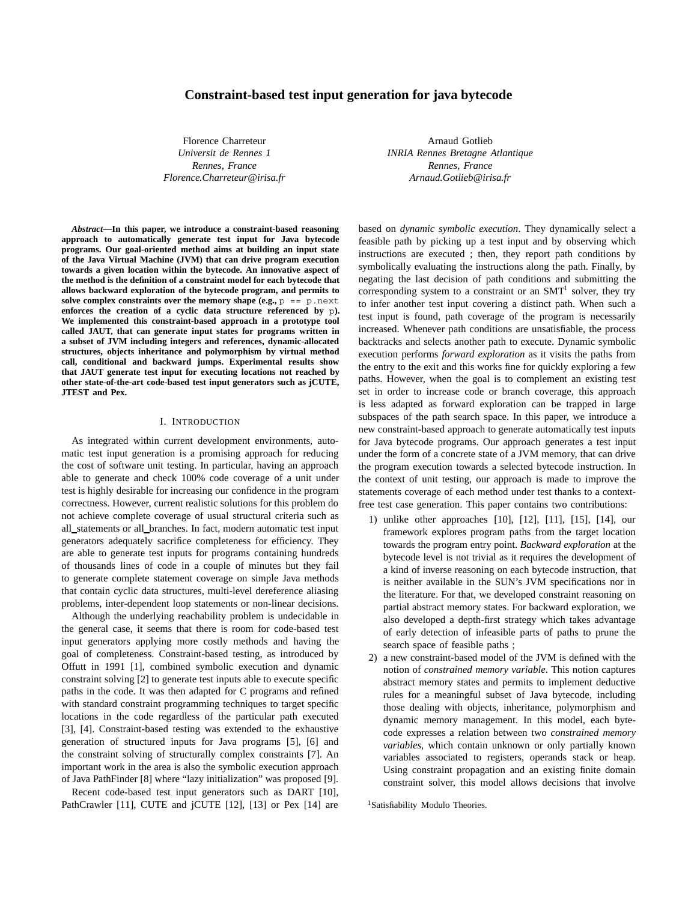#### **Constraint-based test input generation for java bytecode**

Florence Charreteur *Universit de Rennes 1 Rennes, France Florence.Charreteur@irisa.fr*

*Abstract***—In this paper, we introduce a constraint-based reasoning approach to automatically generate test input for Java bytecode programs. Our goal-oriented method aims at building an input state of the Java Virtual Machine (JVM) that can drive program execution towards a given location within the bytecode. An innovative aspect of the method is the definition of a constraint model for each bytecode that allows backward exploration of the bytecode program, and permits to solve complex constraints over the memory shape (e.g.,** p == p.next **enforces the creation of a cyclic data structure referenced by** p**). We implemented this constraint-based approach in a prototype tool called JAUT, that can generate input states for programs written in a subset of JVM including integers and references, dynamic-allocated structures, objects inheritance and polymorphism by virtual method call, conditional and backward jumps. Experimental results show that JAUT generate test input for executing locations not reached by other state-of-the-art code-based test input generators such as jCUTE, JTEST and Pex.**

#### I. INTRODUCTION

As integrated within current development environments, automatic test input generation is a promising approach for reducing the cost of software unit testing. In particular, having an approach able to generate and check 100% code coverage of a unit under test is highly desirable for increasing our confidence in the program correctness. However, current realistic solutions for this problem do not achieve complete coverage of usual structural criteria such as all statements or all branches. In fact, modern automatic test input generators adequately sacrifice completeness for efficiency. They are able to generate test inputs for programs containing hundreds of thousands lines of code in a couple of minutes but they fail to generate complete statement coverage on simple Java methods that contain cyclic data structures, multi-level dereference aliasing problems, inter-dependent loop statements or non-linear decisions.

Although the underlying reachability problem is undecidable in the general case, it seems that there is room for code-based test input generators applying more costly methods and having the goal of completeness. Constraint-based testing, as introduced by Offutt in 1991 [1], combined symbolic execution and dynamic constraint solving [2] to generate test inputs able to execute specific paths in the code. It was then adapted for C programs and refined with standard constraint programming techniques to target specific locations in the code regardless of the particular path executed [3], [4]. Constraint-based testing was extended to the exhaustive generation of structured inputs for Java programs [5], [6] and the constraint solving of structurally complex constraints [7]. An important work in the area is also the symbolic execution approach of Java PathFinder [8] where "lazy initialization" was proposed [9].

Recent code-based test input generators such as DART [10], PathCrawler [11], CUTE and jCUTE [12], [13] or Pex [14] are

Arnaud Gotlieb *INRIA Rennes Bretagne Atlantique Rennes, France Arnaud.Gotlieb@irisa.fr*

based on *dynamic symbolic execution*. They dynamically select a feasible path by picking up a test input and by observing which instructions are executed ; then, they report path conditions by symbolically evaluating the instructions along the path. Finally, by negating the last decision of path conditions and submitting the corresponding system to a constraint or an  $SMT<sup>1</sup>$  solver, they try to infer another test input covering a distinct path. When such a test input is found, path coverage of the program is necessarily increased. Whenever path conditions are unsatisfiable, the process backtracks and selects another path to execute. Dynamic symbolic execution performs *forward exploration* as it visits the paths from the entry to the exit and this works fine for quickly exploring a few paths. However, when the goal is to complement an existing test set in order to increase code or branch coverage, this approach is less adapted as forward exploration can be trapped in large subspaces of the path search space. In this paper, we introduce a new constraint-based approach to generate automatically test inputs for Java bytecode programs. Our approach generates a test input under the form of a concrete state of a JVM memory, that can drive the program execution towards a selected bytecode instruction. In the context of unit testing, our approach is made to improve the statements coverage of each method under test thanks to a contextfree test case generation. This paper contains two contributions:

- 1) unlike other approaches [10], [12], [11], [15], [14], our framework explores program paths from the target location towards the program entry point. *Backward exploration* at the bytecode level is not trivial as it requires the development of a kind of inverse reasoning on each bytecode instruction, that is neither available in the SUN's JVM specifications nor in the literature. For that, we developed constraint reasoning on partial abstract memory states. For backward exploration, we also developed a depth-first strategy which takes advantage of early detection of infeasible parts of paths to prune the search space of feasible paths ;
- 2) a new constraint-based model of the JVM is defined with the notion of *constrained memory variable*. This notion captures abstract memory states and permits to implement deductive rules for a meaningful subset of Java bytecode, including those dealing with objects, inheritance, polymorphism and dynamic memory management. In this model, each bytecode expresses a relation between two *constrained memory variables*, which contain unknown or only partially known variables associated to registers, operands stack or heap. Using constraint propagation and an existing finite domain constraint solver, this model allows decisions that involve

<sup>1</sup>Satisfiability Modulo Theories.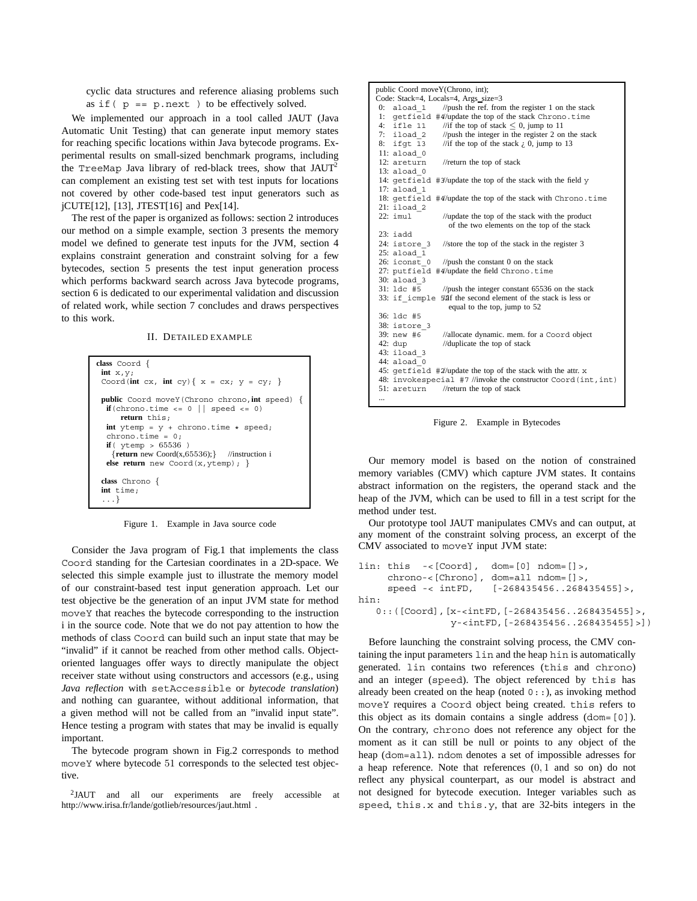cyclic data structures and reference aliasing problems such as if  $(p == p.next)$  to be effectively solved.

We implemented our approach in a tool called JAUT (Java Automatic Unit Testing) that can generate input memory states for reaching specific locations within Java bytecode programs. Experimental results on small-sized benchmark programs, including the TreeMap Java library of red-black trees, show that  $JAUT^2$ can complement an existing test set with test inputs for locations not covered by other code-based test input generators such as jCUTE[12], [13], JTEST[16] and Pex[14].

The rest of the paper is organized as follows: section 2 introduces our method on a simple example, section 3 presents the memory model we defined to generate test inputs for the JVM, section 4 explains constraint generation and constraint solving for a few bytecodes, section 5 presents the test input generation process which performs backward search across Java bytecode programs, section 6 is dedicated to our experimental validation and discussion of related work, while section 7 concludes and draws perspectives to this work.

#### II. DETAILED EXAMPLE

```
class Coord {
 int x,y;
 Coord(int cx, int cy) \{ x = cx; y = cy; \}public Coord moveY(Chrono chrono,int speed) {
  \textbf{if}(\text{chrono.time} \leq 0 \mid \mid \text{speed} \leq 0)return this;
  int ytemp = y + chrono.time * speed;
  chrono.time = 0;if( ytemp > 65536 )
   {return new Coord(x,65536);} //instruction i
  else return new Coord(x,ytemp); }
 class Chrono {
 int time;
 ...}
```
Figure 1. Example in Java source code

Consider the Java program of Fig.1 that implements the class Coord standing for the Cartesian coordinates in a 2D-space. We selected this simple example just to illustrate the memory model of our constraint-based test input generation approach. Let our test objective be the generation of an input JVM state for method moveY that reaches the bytecode corresponding to the instruction i in the source code. Note that we do not pay attention to how the methods of class Coord can build such an input state that may be "invalid" if it cannot be reached from other method calls. Objectoriented languages offer ways to directly manipulate the object receiver state without using constructors and accessors (e.g., using *Java reflection* with setAccessible or *bytecode translation*) and nothing can guarantee, without additional information, that a given method will not be called from an "invalid input state". Hence testing a program with states that may be invalid is equally important.

The bytecode program shown in Fig.2 corresponds to method moveY where bytecode 51 corresponds to the selected test objective.

2JAUT and all our experiments are freely accessible at http://www.irisa.fr/lande/gotlieb/resources/jaut.html .

| public Coord moveY(Chrono, int);                                                  |  |  |  |  |  |  |  |  |  |
|-----------------------------------------------------------------------------------|--|--|--|--|--|--|--|--|--|
| Code: Stack=4, Locals=4, Args_size=3                                              |  |  |  |  |  |  |  |  |  |
| $\frac{1}{2}$ //push the ref. from the register 1 on the stack<br>aload 1<br>0:   |  |  |  |  |  |  |  |  |  |
| 1: qetfield #4/update the top of the stack Chrono.time                            |  |  |  |  |  |  |  |  |  |
| //if the top of stack $\leq 0$ , jump to 11<br>4: ifle 11                         |  |  |  |  |  |  |  |  |  |
| $7:$ iload $2$<br>$\frac{1}{2}$ //push the integer in the register 2 on the stack |  |  |  |  |  |  |  |  |  |
| //if the top of the stack $\lambda$ 0, jump to 13<br>$8:$ ifgt 13                 |  |  |  |  |  |  |  |  |  |
| $11:$ aload $0$                                                                   |  |  |  |  |  |  |  |  |  |
| 12: areturn<br>// $return$ the top of stack                                       |  |  |  |  |  |  |  |  |  |
| $13:$ aload $0$                                                                   |  |  |  |  |  |  |  |  |  |
| 14: qetfield #3/update the top of the stack with the field y                      |  |  |  |  |  |  |  |  |  |
| 17: aload 1                                                                       |  |  |  |  |  |  |  |  |  |
| 18: getfield #4/update the top of the stack with Chrono.time                      |  |  |  |  |  |  |  |  |  |
| 21: iload 2                                                                       |  |  |  |  |  |  |  |  |  |
| 22: imul<br>//update the top of the stack with the product                        |  |  |  |  |  |  |  |  |  |
| of the two elements on the top of the stack                                       |  |  |  |  |  |  |  |  |  |
| 23: iadd                                                                          |  |  |  |  |  |  |  |  |  |
| 24: istore 3<br>$//$ store the top of the stack in the register 3                 |  |  |  |  |  |  |  |  |  |
| $25:$ aload $1$                                                                   |  |  |  |  |  |  |  |  |  |
| 26: iconst 0<br>$\frac{1}{2}$ //push the constant 0 on the stack                  |  |  |  |  |  |  |  |  |  |
| 27: putfield #4/update the field Chrono.time                                      |  |  |  |  |  |  |  |  |  |
| $30:$ aload $3$                                                                   |  |  |  |  |  |  |  |  |  |
| 31: 1dc #5<br>//push the integer constant $65536$ on the stack                    |  |  |  |  |  |  |  |  |  |
| 33: if icmple 5'af the second element of the stack is less or                     |  |  |  |  |  |  |  |  |  |
| equal to the top, jump to 52                                                      |  |  |  |  |  |  |  |  |  |
| 36: ldc #5                                                                        |  |  |  |  |  |  |  |  |  |
| 38: istore 3                                                                      |  |  |  |  |  |  |  |  |  |
| 39: new #6<br>//allocate dynamic. mem. for a Coord object                         |  |  |  |  |  |  |  |  |  |
| 42: dup<br>//duplicate the top of stack                                           |  |  |  |  |  |  |  |  |  |
| 43: iload 3                                                                       |  |  |  |  |  |  |  |  |  |
| 44: aload 0                                                                       |  |  |  |  |  |  |  |  |  |
| 45: $q$ etfield #2/update the top of the stack with the attr. x                   |  |  |  |  |  |  |  |  |  |
| 48: invokespecial #7 //invoke the constructor Coord (int, int)                    |  |  |  |  |  |  |  |  |  |
| //return the top of stack<br>51: areturn                                          |  |  |  |  |  |  |  |  |  |
|                                                                                   |  |  |  |  |  |  |  |  |  |

Figure 2. Example in Bytecodes

Our memory model is based on the notion of constrained memory variables (CMV) which capture JVM states. It contains abstract information on the registers, the operand stack and the heap of the JVM, which can be used to fill in a test script for the method under test.

Our prototype tool JAUT manipulates CMVs and can output, at any moment of the constraint solving process, an excerpt of the CMV associated to moveY input JVM state:

```
lin: this -<[Coord], dom=[0] ndom=[]>,
     chrono-<[Chrono], dom=all ndom=[]>,
     speed -< intFD, [-268435456..268435455]>,
hin:
   0::([Coord],[x-<intFD,[-268435456..268435455]>,
                y-<intFD,[-268435456..268435455]>])
```
Before launching the constraint solving process, the CMV containing the input parameters lin and the heap hin is automatically generated. lin contains two references (this and chrono) and an integer (speed). The object referenced by this has already been created on the heap (noted  $0:$  : ), as invoking method moveY requires a Coord object being created. this refers to this object as its domain contains a single address (dom=[0]). On the contrary, chrono does not reference any object for the moment as it can still be null or points to any object of the heap (dom=all). ndom denotes a set of impossible adresses for a heap reference. Note that references (0, 1 and so on) do not reflect any physical counterpart, as our model is abstract and not designed for bytecode execution. Integer variables such as speed, this. $x$  and this. $y$ , that are 32-bits integers in the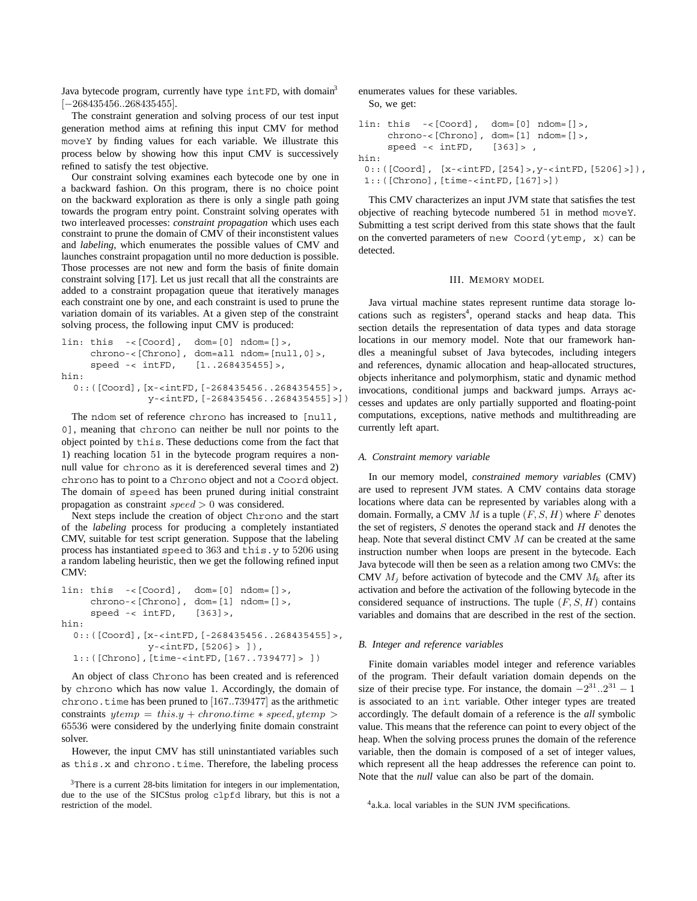Java bytecode program, currently have type  $intFD$ , with domain<sup>3</sup> [−268435456..268435455].

The constraint generation and solving process of our test input generation method aims at refining this input CMV for method moveY by finding values for each variable. We illustrate this process below by showing how this input CMV is successively refined to satisfy the test objective.

Our constraint solving examines each bytecode one by one in a backward fashion. On this program, there is no choice point on the backward exploration as there is only a single path going towards the program entry point. Constraint solving operates with two interleaved processes: *constraint propagation* which uses each constraint to prune the domain of CMV of their inconstistent values and *labeling*, which enumerates the possible values of CMV and launches constraint propagation until no more deduction is possible. Those processes are not new and form the basis of finite domain constraint solving [17]. Let us just recall that all the constraints are added to a constraint propagation queue that iteratively manages each constraint one by one, and each constraint is used to prune the variation domain of its variables. At a given step of the constraint solving process, the following input CMV is produced:

```
\verb|lin: this -- < [Coord]\;,\quad \verb|dom=[0]\; ndom=[];\;chrono-<[Chrono], dom=all ndom=[null,0]>,
     speed -< intFD, [1..268435455]>,
hin:
  0::([Coord],[x-<intFD,[-268435456..268435455]>,
                y-<intFD,[-268435456..268435455]>])
```
The ndom set of reference chrono has increased to [null, 0], meaning that chrono can neither be null nor points to the object pointed by this. These deductions come from the fact that 1) reaching location 51 in the bytecode program requires a nonnull value for chrono as it is dereferenced several times and 2) chrono has to point to a Chrono object and not a Coord object. The domain of speed has been pruned during initial constraint propagation as constraint  $speed > 0$  was considered.

Next steps include the creation of object Chrono and the start of the *labeling* process for producing a completely instantiated CMV, suitable for test script generation. Suppose that the labeling process has instantiated speed to 363 and this.y to 5206 using a random labeling heuristic, then we get the following refined input CMV:

```
lin: this -\langle[Coord], dom=[0] ndom=[]>,
     chrono-<[Chrono], dom=[1] ndom=[]>,
     speed -<interD, [363]>,
hin:
  0::([Coord],[x-<intFD,[-268435456..268435455]>,
               y-<intFD,[5206]> ]),
 1::([Chrono],[time-<intFD,[167..739477]> ])
```
An object of class Chrono has been created and is referenced by chrono which has now value 1. Accordingly, the domain of chrono.time has been pruned to  $[167..739477]$  as the arithmetic constraints  $ytemp = this.y + chromo.time * speed, ytemp >$ 65536 were considered by the underlying finite domain constraint solver.

However, the input CMV has still uninstantiated variables such as this.x and chrono.time. Therefore, the labeling process

enumerates values for these variables. So, we get:

```
lin: this -\langle[Coord], dom=[0] ndom=[]>,
     chrono-<[Chrono], dom=[1] ndom=[]>,
     speed -< intFD, [363],
hin:
 0::([Coord], [x-<intFD,[254]>,y-<intFD,[5206]>]),
 1::([Chrono],[time-<intFD,[167]>])
```
This CMV characterizes an input JVM state that satisfies the test objective of reaching bytecode numbered 51 in method moveY. Submitting a test script derived from this state shows that the fault on the converted parameters of new Coord(ytemp, x) can be detected.

#### III. MEMORY MODEL

Java virtual machine states represent runtime data storage locations such as registers<sup>4</sup>, operand stacks and heap data. This section details the representation of data types and data storage locations in our memory model. Note that our framework handles a meaningful subset of Java bytecodes, including integers and references, dynamic allocation and heap-allocated structures, objects inheritance and polymorphism, static and dynamic method invocations, conditional jumps and backward jumps. Arrays accesses and updates are only partially supported and floating-point computations, exceptions, native methods and multithreading are currently left apart.

#### *A. Constraint memory variable*

In our memory model, *constrained memory variables* (CMV) are used to represent JVM states. A CMV contains data storage locations where data can be represented by variables along with a domain. Formally, a CMV  $M$  is a tuple  $(F, S, H)$  where  $F$  denotes the set of registers,  $S$  denotes the operand stack and  $H$  denotes the heap. Note that several distinct CMV M can be created at the same instruction number when loops are present in the bytecode. Each Java bytecode will then be seen as a relation among two CMVs: the CMV  $M_i$  before activation of bytecode and the CMV  $M_k$  after its activation and before the activation of the following bytecode in the considered sequance of instructions. The tuple  $(F, S, H)$  contains variables and domains that are described in the rest of the section.

#### *B. Integer and reference variables*

Finite domain variables model integer and reference variables of the program. Their default variation domain depends on the size of their precise type. For instance, the domain  $-2^{31} \cdot 2^{31} - 1$ is associated to an int variable. Other integer types are treated accordingly. The default domain of a reference is the *all* symbolic value. This means that the reference can point to every object of the heap. When the solving process prunes the domain of the reference variable, then the domain is composed of a set of integer values, which represent all the heap addresses the reference can point to. Note that the *null* value can also be part of the domain.

<sup>&</sup>lt;sup>3</sup>There is a current 28-bits limitation for integers in our implementation, due to the use of the SICStus prolog clpfd library, but this is not a restriction of the model.

<sup>4</sup>a.k.a. local variables in the SUN JVM specifications.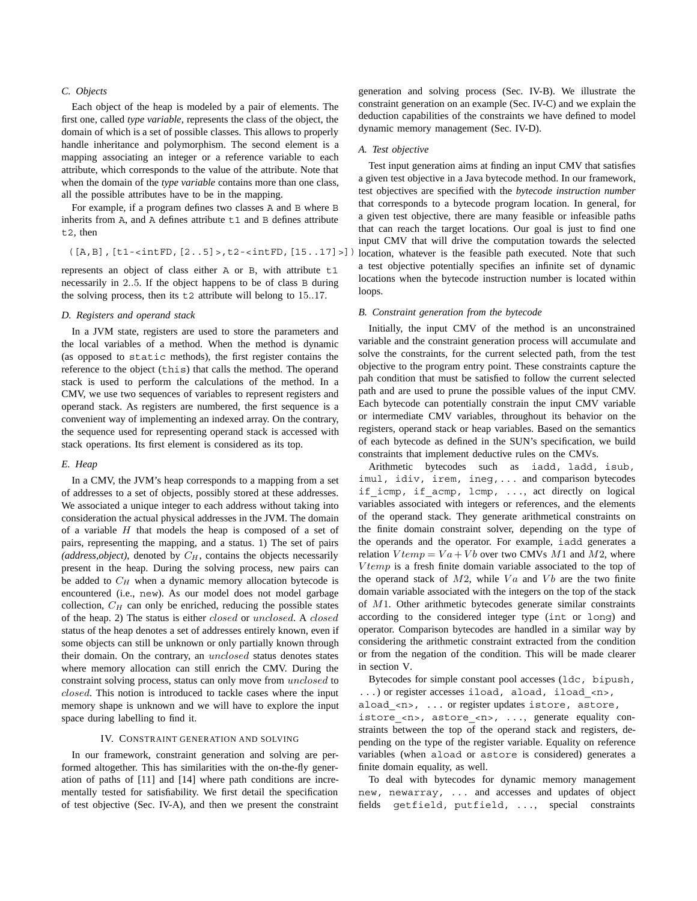#### *C. Objects*

Each object of the heap is modeled by a pair of elements. The first one, called *type variable*, represents the class of the object, the domain of which is a set of possible classes. This allows to properly handle inheritance and polymorphism. The second element is a mapping associating an integer or a reference variable to each attribute, which corresponds to the value of the attribute. Note that when the domain of the *type variable* contains more than one class, all the possible attributes have to be in the mapping.

For example, if a program defines two classes A and B where B inherits from A, and A defines attribute t1 and B defines attribute t2, then

([A,B],[t1-<intFD,[2..5]>,t2-<intFD,[15..17]>])

represents an object of class either A or B, with attribute t1 necessarily in 2..5. If the object happens to be of class B during the solving process, then its  $t_2$  attribute will belong to 15..17.

#### *D. Registers and operand stack*

In a JVM state, registers are used to store the parameters and the local variables of a method. When the method is dynamic (as opposed to static methods), the first register contains the reference to the object (this) that calls the method. The operand stack is used to perform the calculations of the method. In a CMV, we use two sequences of variables to represent registers and operand stack. As registers are numbered, the first sequence is a convenient way of implementing an indexed array. On the contrary, the sequence used for representing operand stack is accessed with stack operations. Its first element is considered as its top.

#### *E. Heap*

In a CMV, the JVM's heap corresponds to a mapping from a set of addresses to a set of objects, possibly stored at these addresses. We associated a unique integer to each address without taking into consideration the actual physical addresses in the JVM. The domain of a variable  $H$  that models the heap is composed of a set of pairs, representing the mapping, and a status. 1) The set of pairs (*address,object*), denoted by  $C_H$ , contains the objects necessarily present in the heap. During the solving process, new pairs can be added to C*<sup>H</sup>* when a dynamic memory allocation bytecode is encountered (i.e., new). As our model does not model garbage collection, C*<sup>H</sup>* can only be enriched, reducing the possible states of the heap. 2) The status is either closed or unclosed. A closed status of the heap denotes a set of addresses entirely known, even if some objects can still be unknown or only partially known through their domain. On the contrary, an *unclosed* status denotes states where memory allocation can still enrich the CMV. During the constraint solving process, status can only move from unclosed to closed. This notion is introduced to tackle cases where the input memory shape is unknown and we will have to explore the input space during labelling to find it.

#### IV. CONSTRAINT GENERATION AND SOLVING

In our framework, constraint generation and solving are performed altogether. This has similarities with the on-the-fly generation of paths of [11] and [14] where path conditions are incrementally tested for satisfiability. We first detail the specification of test objective (Sec. IV-A), and then we present the constraint generation and solving process (Sec. IV-B). We illustrate the constraint generation on an example (Sec. IV-C) and we explain the deduction capabilities of the constraints we have defined to model dynamic memory management (Sec. IV-D).

#### *A. Test objective*

Test input generation aims at finding an input CMV that satisfies a given test objective in a Java bytecode method. In our framework, test objectives are specified with the *bytecode instruction number* that corresponds to a bytecode program location. In general, for a given test objective, there are many feasible or infeasible paths that can reach the target locations. Our goal is just to find one input CMV that will drive the computation towards the selected location, whatever is the feasible path executed. Note that such a test objective potentially specifies an infinite set of dynamic locations when the bytecode instruction number is located within loops.

#### *B. Constraint generation from the bytecode*

Initially, the input CMV of the method is an unconstrained variable and the constraint generation process will accumulate and solve the constraints, for the current selected path, from the test objective to the program entry point. These constraints capture the pah condition that must be satisfied to follow the current selected path and are used to prune the possible values of the input CMV. Each bytecode can potentially constrain the input CMV variable or intermediate CMV variables, throughout its behavior on the registers, operand stack or heap variables. Based on the semantics of each bytecode as defined in the SUN's specification, we build constraints that implement deductive rules on the CMVs.

Arithmetic bytecodes such as iadd, ladd, isub, imul, idiv, irem, ineg,... and comparison bytecodes if icmp, if acmp, lcmp, ..., act directly on logical variables associated with integers or references, and the elements of the operand stack. They generate arithmetical constraints on the finite domain constraint solver, depending on the type of the operands and the operator. For example, iadd generates a relation  $V temp = Va + Vb$  over two CMVs  $M1$  and  $M2$ , where  $V$ temp is a fresh finite domain variable associated to the top of the operand stack of  $M2$ , while  $Va$  and  $Vb$  are the two finite domain variable associated with the integers on the top of the stack of M1. Other arithmetic bytecodes generate similar constraints according to the considered integer type (int or long) and operator. Comparison bytecodes are handled in a similar way by considering the arithmetic constraint extracted from the condition or from the negation of the condition. This will be made clearer in section V.

Bytecodes for simple constant pool accesses (ldc, bipush, ...) or register accesses iload, aload, iload <n>,

aload\_<n>, ... or register updates istore, astore,

istore <n>, astore <n>, ..., generate equality constraints between the top of the operand stack and registers, depending on the type of the register variable. Equality on reference variables (when aload or astore is considered) generates a finite domain equality, as well.

To deal with bytecodes for dynamic memory management new, newarray, ... and accesses and updates of object fields getfield, putfield, ..., special constraints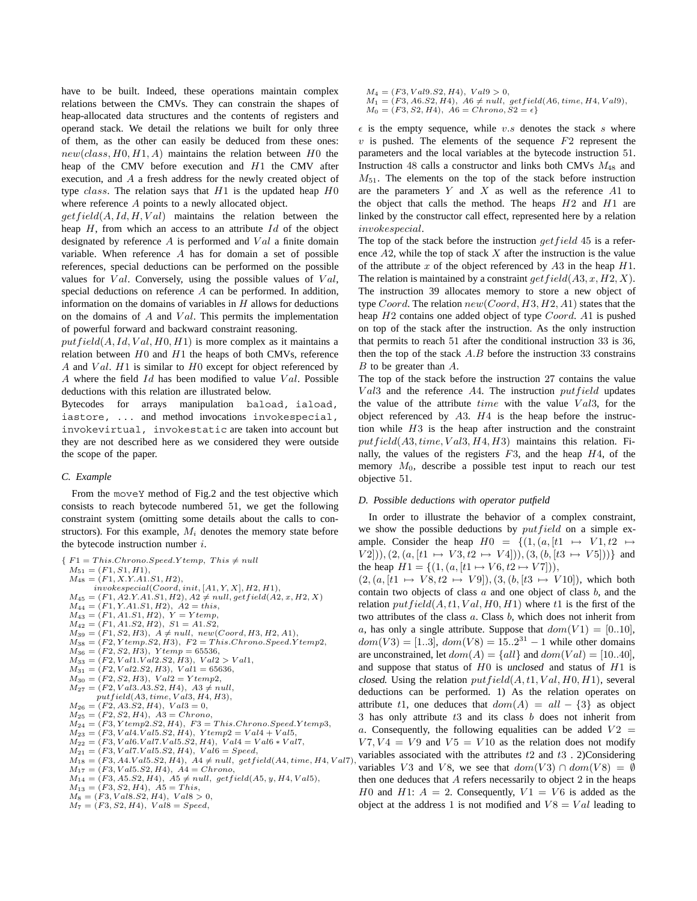have to be built. Indeed, these operations maintain complex relations between the CMVs. They can constrain the shapes of heap-allocated data structures and the contents of registers and operand stack. We detail the relations we built for only three of them, as the other can easily be deduced from these ones:  $new(class, H0, H1, A)$  maintains the relation between H0 the heap of the CMV before execution and  $H1$  the CMV after execution, and A a fresh address for the newly created object of type *class*. The relation says that  $H1$  is the updated heap  $H0$ where reference A points to a newly allocated object.

 $getfield(A, Id, H, Val)$  maintains the relation between the heap  $H$ , from which an access to an attribute  $Id$  of the object designated by reference  $A$  is performed and  $Val$  a finite domain variable. When reference A has for domain a set of possible references, special deductions can be performed on the possible values for *Val.* Conversely, using the possible values of *Val*, special deductions on reference A can be performed. In addition, information on the domains of variables in  $H$  allows for deductions on the domains of  $A$  and  $Val$ . This permits the implementation of powerful forward and backward constraint reasoning.

 $putfield(A, Id, Val, H0, H1)$  is more complex as it maintains a relation between  $H0$  and  $H1$  the heaps of both CMVs, reference A and Val.  $H1$  is similar to  $H0$  except for object referenced by A where the field  $Id$  has been modified to value  $Val$ . Possible deductions with this relation are illustrated below.

Bytecodes for arrays manipulation baload, iaload, iastore, ... and method invocations invokespecial, invokevirtual, invokestatic are taken into account but they are not described here as we considered they were outside the scope of the paper.

#### *C. Example*

From the moveY method of Fig.2 and the test objective which consists to reach bytecode numbered 51, we get the following constraint system (omitting some details about the calls to constructors). For this example, M*<sup>i</sup>* denotes the memory state before the bytecode instruction number  $i$ .

- $\{F1 = This.Chrono.Speed.Ytemp, This \neq null\}$  $M_{51} = (F1, S1, H1),$  $M_{48} = (F1, X.Y.A1.S1, H2),$  $invokespecial(Coord, init, [A1, Y, X], H2, H1),$  $M_{45} = (F1, A2.Y.A1.S1, H2), A2 \neq null, getfield(A2, x, H2, X)$  $M_{44} = (F1, Y.A1.S1, H2), A2 = this,$ <br>  $M_{43} = (F1, A1.S1, H2), Y = Ytemp,$  $M_{42} = (F1, A1.S2, H2), S1 = A1.S2,$  $M_{39} = (F1, S2, H3), A \neq null, new(Coord, H3, H2, A1),$  $M_{38} = (F2, Ytemp.S2, H3), F2 = This. Chromo. Speed. Y temp2,$  $M_{36} = (F2, S2, H3), Y$ temp = 65536,  $M_{33} = (F2, Val1. Val2. S2, H3), Val2 > Val1,$  $M_{31} = (F2, Val2.S2, H3), Val1 = 65636,$  $M_{30} = (F2, S2, H3), Val2 = Y temp2,$  $M_{27} = (F2, Val3.43.52, H4), A3 \neq null,$  $putfield(A3, time, Val3, H4, H3),$  $M_{26} = (F2, A3.S2, H4), Val3 = 0,$  $M_{25} = (F2, S2, H4), \ \hat{A3} = Chrono,$  $M_{24} = (F3, Ytemp2.S2, H4), F3 = This-Chrono.Speed.Ytemp3,$  $\overline{M}_{23} = (F3, Val4, Val5. S2, H4), Y temp2 = Val4 + Val5,$  $M_{22} = (F3, Val6, Val7, Val5, S2, H4), Val4 = Val6*Val7,$  $M_{21} = (F3, Val7.Val5.S2, H4), Val6 = Speed,$  $M_{18} = (F3, A4.Va15. S2, H4), \ A4 \neq null, \ getfield(A4, time, H4, Val7),$  $M_{17} = (F3, Val5.S2, H4), A4 = Chrono,$  $M_{14} = (F3, A5.S2, H4), A5 \neq null, getfield(A5, y, H4, Val5),$  $M_{13} = (F3, S2, H4), A5 = This,$  $M_8 = (F3, Val8.S2, H4), Val8 > 0,$
- $M_7 = (F3, S2, H4), \text{ Val8} = Speed,$

 $M_4 = (F3, Val9.S2, H4), Val9 > 0,$  $M_1 = (F3, A6. S2, H4), \not\hbox{A6}\neq null, \not\hbox{getfield} (A6, time, H4, Val9),$  $M_0 = (F3, S2, H4), A6 = Chromo, S2 = \epsilon\}$ 

 $\epsilon$  is the empty sequence, while v.s denotes the stack s where  $v$  is pushed. The elements of the sequence  $F2$  represent the parameters and the local variables at the bytecode instruction 51. Instruction 48 calls a constructor and links both CMVs  $M_{48}$  and  $M_{51}$ . The elements on the top of the stack before instruction are the parameters  $Y$  and  $X$  as well as the reference  $A1$  to the object that calls the method. The heaps  $H2$  and  $H1$  are linked by the constructor call effect, represented here by a relation invokespecial.

The top of the stack before the instruction  $qet field 45$  is a reference  $A2$ , while the top of stack  $X$  after the instruction is the value of the attribute x of the object referenced by  $A3$  in the heap  $H1$ . The relation is maintained by a constraint  $getfield(A3, x, H2, X)$ . The instruction 39 allocates memory to store a new object of type Coord. The relation  $new(Coord, H3, H2, A1)$  states that the heap  $H2$  contains one added object of type Coord. A1 is pushed on top of the stack after the instruction. As the only instruction that permits to reach 51 after the conditional instruction 33 is 36, then the top of the stack  $A.B$  before the instruction 33 constrains B to be greater than A.

The top of the stack before the instruction 27 contains the value  $Val3$  and the reference A4. The instruction put field updates the value of the attribute  $time$  with the value  $Val3$ , for the object referenced by  $A3. H4$  is the heap before the instruction while H3 is the heap after instruction and the constraint  $putfield(A3, time, Val3, H4, H3)$  maintains this relation. Finally, the values of the registers  $F3$ , and the heap  $H4$ , of the memory  $M_0$ , describe a possible test input to reach our test objective 51.

#### *D. Possible deductions with operator putfield*

In order to illustrate the behavior of a complex constraint, we show the possible deductions by  $putfield$  on a simple example. Consider the heap  $H0 = \{(1, (a, [t1 \rightarrow V1, t2 \rightarrow$  $V2]), (2, (a, [t1 \mapsto V3, t2 \mapsto V4]), (3, (b, [t3 \mapsto V5]))$  and the heap  $H1 = \{(1, (a, [t1 \mapsto V6, t2 \mapsto V7])\},\$ 

 $(2, (a, [t1 \mapsto V8, t2 \mapsto V9]), (3, (b, [t3 \mapsto V10]),$  which both contain two objects of class  $a$  and one object of class  $b$ , and the relation  $putfield(A, t1, Val, H0, H1)$  where t1 is the first of the two attributes of the class a. Class b, which does not inherit from a, has only a single attribute. Suppose that  $dom(V1) = [0..10]$ ,  $dom(V3) = [1..3], dom(V8) = 15..2<sup>31</sup> - 1$  while other domains are unconstrained, let  $dom(A) = \{all\}$  and  $dom(Val) = [10..40]$ , and suppose that status of  $H0$  is unclosed and status of  $H1$  is closed. Using the relation  $putfield(A, t1, Val, H0, H1)$ , several deductions can be performed. 1) As the relation operates on attribute t1, one deduces that  $dom(A) = all - \{3\}$  as object 3 has only attribute t3 and its class b does not inherit from a. Consequently, the following equalities can be added  $V2 =$  $V7, V4 = V9$  and  $V5 = V10$  as the relation does not modify variables associated with the attributes  $t2$  and  $t3$  . 2)Considering variables V3 and V8, we see that  $dom(V3) \cap dom(V8) = \emptyset$ then one deduces that  $A$  refers necessarily to object  $2$  in the heaps H0 and H1:  $A = 2$ . Consequently,  $V1 = V6$  is added as the object at the address 1 is not modified and  $V8 = Val$  leading to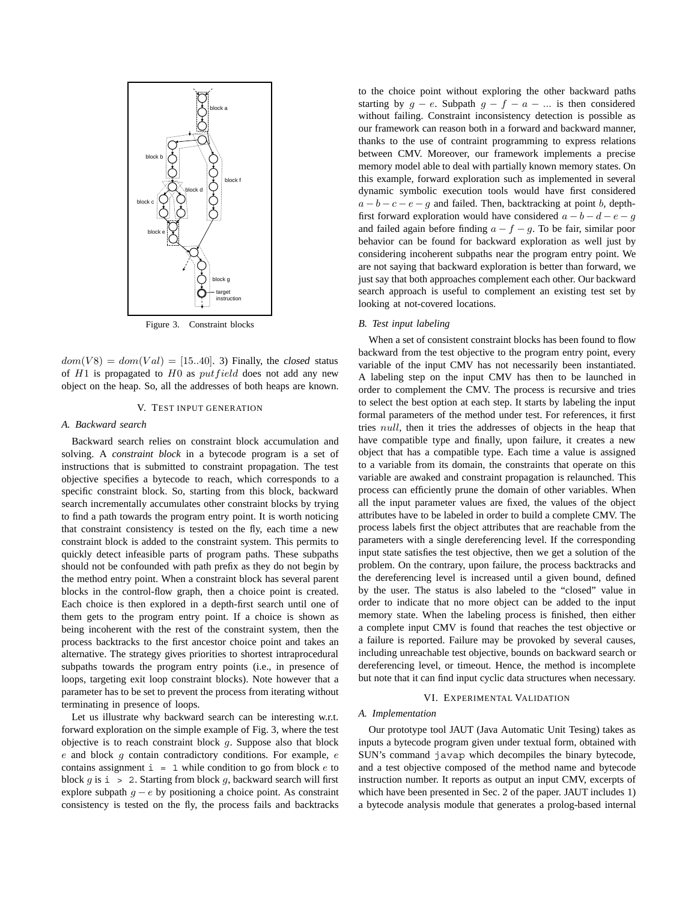

Figure 3. Constraint blocks

 $dom(V8) = dom(Val) = [15..40].$  3) Finally, the closed status of  $H1$  is propagated to  $H0$  as  $putfield$  does not add any new object on the heap. So, all the addresses of both heaps are known.

#### V. TEST INPUT GENERATION

#### *A. Backward search*

Backward search relies on constraint block accumulation and solving. A *constraint block* in a bytecode program is a set of instructions that is submitted to constraint propagation. The test objective specifies a bytecode to reach, which corresponds to a specific constraint block. So, starting from this block, backward search incrementally accumulates other constraint blocks by trying to find a path towards the program entry point. It is worth noticing that constraint consistency is tested on the fly, each time a new constraint block is added to the constraint system. This permits to quickly detect infeasible parts of program paths. These subpaths should not be confounded with path prefix as they do not begin by the method entry point. When a constraint block has several parent blocks in the control-flow graph, then a choice point is created. Each choice is then explored in a depth-first search until one of them gets to the program entry point. If a choice is shown as being incoherent with the rest of the constraint system, then the process backtracks to the first ancestor choice point and takes an alternative. The strategy gives priorities to shortest intraprocedural subpaths towards the program entry points (i.e., in presence of loops, targeting exit loop constraint blocks). Note however that a parameter has to be set to prevent the process from iterating without terminating in presence of loops.

Let us illustrate why backward search can be interesting w.r.t. forward exploration on the simple example of Fig. 3, where the test objective is to reach constraint block  $q$ . Suppose also that block  $e$  and block  $g$  contain contradictory conditions. For example,  $e$ contains assignment  $i=1$  while condition to go from block  $e$  to block g is  $i > 2$ . Starting from block g, backward search will first explore subpath  $g - e$  by positioning a choice point. As constraint consistency is tested on the fly, the process fails and backtracks

to the choice point without exploring the other backward paths starting by  $g - e$ . Subpath  $g - f - a - \dots$  is then considered without failing. Constraint inconsistency detection is possible as our framework can reason both in a forward and backward manner, thanks to the use of contraint programming to express relations between CMV. Moreover, our framework implements a precise memory model able to deal with partially known memory states. On this example, forward exploration such as implemented in several dynamic symbolic execution tools would have first considered  $a - b - c - e - q$  and failed. Then, backtracking at point b, depthfirst forward exploration would have considered  $a - b - d - e - g$ and failed again before finding  $a - f - g$ . To be fair, similar poor behavior can be found for backward exploration as well just by considering incoherent subpaths near the program entry point. We are not saying that backward exploration is better than forward, we just say that both approaches complement each other. Our backward search approach is useful to complement an existing test set by looking at not-covered locations.

#### *B. Test input labeling*

When a set of consistent constraint blocks has been found to flow backward from the test objective to the program entry point, every variable of the input CMV has not necessarily been instantiated. A labeling step on the input CMV has then to be launched in order to complement the CMV. The process is recursive and tries to select the best option at each step. It starts by labeling the input formal parameters of the method under test. For references, it first tries null, then it tries the addresses of objects in the heap that have compatible type and finally, upon failure, it creates a new object that has a compatible type. Each time a value is assigned to a variable from its domain, the constraints that operate on this variable are awaked and constraint propagation is relaunched. This process can efficiently prune the domain of other variables. When all the input parameter values are fixed, the values of the object attributes have to be labeled in order to build a complete CMV. The process labels first the object attributes that are reachable from the parameters with a single dereferencing level. If the corresponding input state satisfies the test objective, then we get a solution of the problem. On the contrary, upon failure, the process backtracks and the dereferencing level is increased until a given bound, defined by the user. The status is also labeled to the "closed" value in order to indicate that no more object can be added to the input memory state. When the labeling process is finished, then either a complete input CMV is found that reaches the test objective or a failure is reported. Failure may be provoked by several causes, including unreachable test objective, bounds on backward search or dereferencing level, or timeout. Hence, the method is incomplete but note that it can find input cyclic data structures when necessary.

#### VI. EXPERIMENTAL VALIDATION

#### *A. Implementation*

Our prototype tool JAUT (Java Automatic Unit Tesing) takes as inputs a bytecode program given under textual form, obtained with SUN's command javap which decompiles the binary bytecode, and a test objective composed of the method name and bytecode instruction number. It reports as output an input CMV, excerpts of which have been presented in Sec. 2 of the paper. JAUT includes 1) a bytecode analysis module that generates a prolog-based internal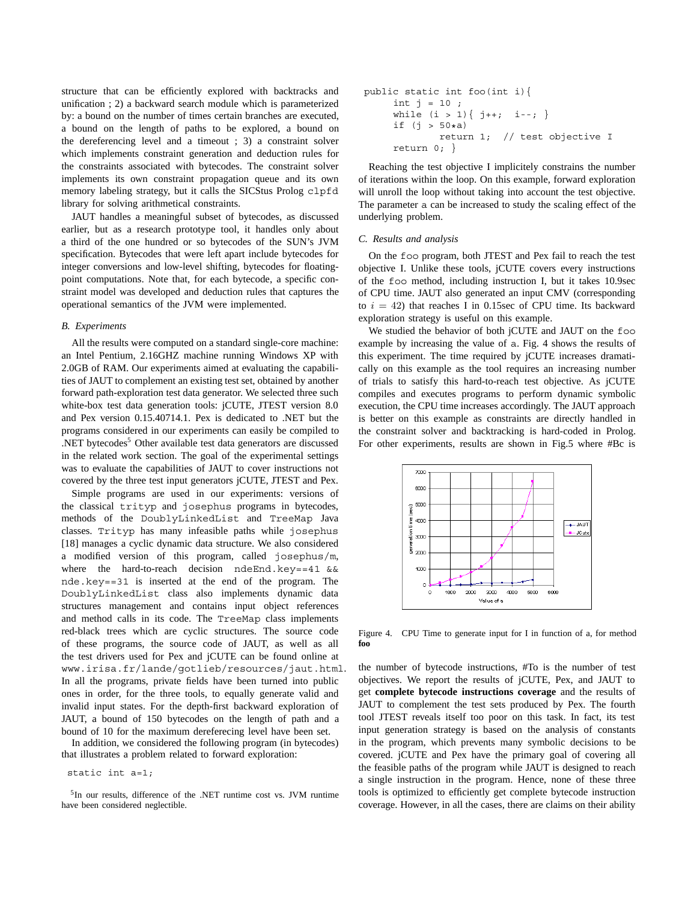structure that can be efficiently explored with backtracks and unification ; 2) a backward search module which is parameterized by: a bound on the number of times certain branches are executed, a bound on the length of paths to be explored, a bound on the dereferencing level and a timeout ; 3) a constraint solver which implements constraint generation and deduction rules for the constraints associated with bytecodes. The constraint solver implements its own constraint propagation queue and its own memory labeling strategy, but it calls the SICStus Prolog clpfd library for solving arithmetical constraints.

JAUT handles a meaningful subset of bytecodes, as discussed earlier, but as a research prototype tool, it handles only about a third of the one hundred or so bytecodes of the SUN's JVM specification. Bytecodes that were left apart include bytecodes for integer conversions and low-level shifting, bytecodes for floatingpoint computations. Note that, for each bytecode, a specific constraint model was developed and deduction rules that captures the operational semantics of the JVM were implemented.

#### *B. Experiments*

All the results were computed on a standard single-core machine: an Intel Pentium, 2.16GHZ machine running Windows XP with 2.0GB of RAM. Our experiments aimed at evaluating the capabilities of JAUT to complement an existing test set, obtained by another forward path-exploration test data generator. We selected three such white-box test data generation tools: jCUTE, JTEST version 8.0 and Pex version 0.15.40714.1. Pex is dedicated to .NET but the programs considered in our experiments can easily be compiled to .NET bytecodes<sup>5</sup> Other available test data generators are discussed in the related work section. The goal of the experimental settings was to evaluate the capabilities of JAUT to cover instructions not covered by the three test input generators jCUTE, JTEST and Pex.

Simple programs are used in our experiments: versions of the classical trityp and josephus programs in bytecodes, methods of the DoublyLinkedList and TreeMap Java classes. Trityp has many infeasible paths while josephus [18] manages a cyclic dynamic data structure. We also considered a modified version of this program, called josephus/m, where the hard-to-reach decision ndeEnd.key==41 && nde.key==31 is inserted at the end of the program. The DoublyLinkedList class also implements dynamic data structures management and contains input object references and method calls in its code. The TreeMap class implements red-black trees which are cyclic structures. The source code of these programs, the source code of JAUT, as well as all the test drivers used for Pex and jCUTE can be found online at www.irisa.fr/lande/gotlieb/resources/jaut.html. In all the programs, private fields have been turned into public ones in order, for the three tools, to equally generate valid and invalid input states. For the depth-first backward exploration of JAUT, a bound of 150 bytecodes on the length of path and a bound of 10 for the maximum dereferecing level have been set.

In addition, we considered the following program (in bytecodes) that illustrates a problem related to forward exploration:

static int a=1;

5In our results, difference of the .NET runtime cost vs. JVM runtime have been considered neglectible.

public static int foo(int i){ int j = 10 ; while (i > 1){ j++; i--; } if (j > 50\*a) return 1; // test objective I return 0; }

Reaching the test objective I implicitely constrains the number of iterations within the loop. On this example, forward exploration will unroll the loop without taking into account the test objective. The parameter a can be increased to study the scaling effect of the underlying problem.

#### *C. Results and analysis*

On the foo program, both JTEST and Pex fail to reach the test objective I. Unlike these tools, jCUTE covers every instructions of the foo method, including instruction I, but it takes 10.9sec of CPU time. JAUT also generated an input CMV (corresponding to  $i = 42$ ) that reaches I in 0.15sec of CPU time. Its backward exploration strategy is useful on this example.

We studied the behavior of both jCUTE and JAUT on the foo example by increasing the value of a. Fig. 4 shows the results of this experiment. The time required by jCUTE increases dramatically on this example as the tool requires an increasing number of trials to satisfy this hard-to-reach test objective. As jCUTE compiles and executes programs to perform dynamic symbolic execution, the CPU time increases accordingly. The JAUT approach is better on this example as constraints are directly handled in the constraint solver and backtracking is hard-coded in Prolog. For other experiments, results are shown in Fig.5 where #Bc is



Figure 4. CPU Time to generate input for I in function of a, for method **foo**

the number of bytecode instructions, #To is the number of test objectives. We report the results of jCUTE, Pex, and JAUT to get **complete bytecode instructions coverage** and the results of JAUT to complement the test sets produced by Pex. The fourth tool JTEST reveals itself too poor on this task. In fact, its test input generation strategy is based on the analysis of constants in the program, which prevents many symbolic decisions to be covered. jCUTE and Pex have the primary goal of covering all the feasible paths of the program while JAUT is designed to reach a single instruction in the program. Hence, none of these three tools is optimized to efficiently get complete bytecode instruction coverage. However, in all the cases, there are claims on their ability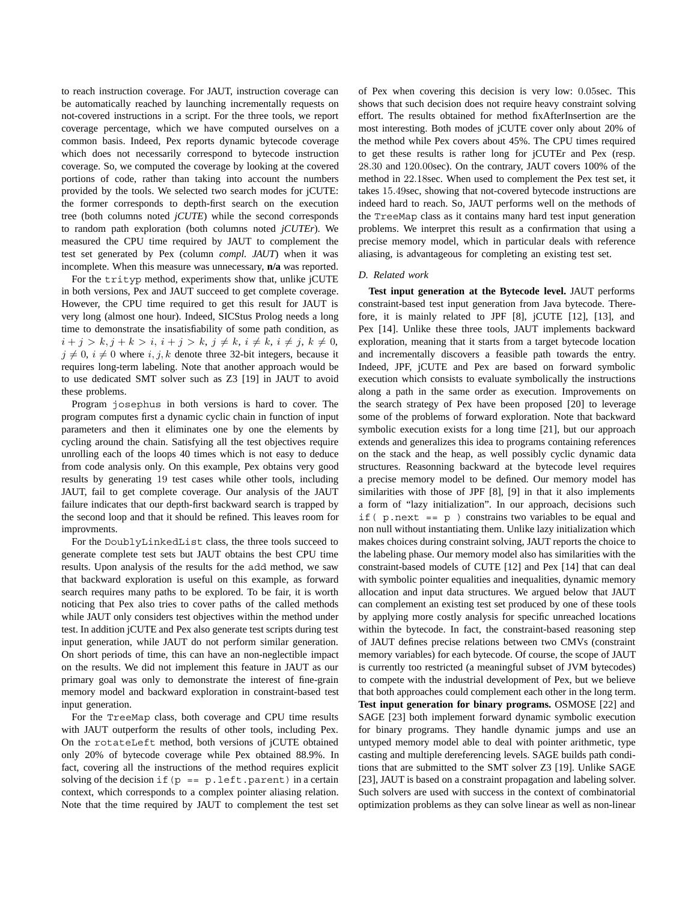to reach instruction coverage. For JAUT, instruction coverage can be automatically reached by launching incrementally requests on not-covered instructions in a script. For the three tools, we report coverage percentage, which we have computed ourselves on a common basis. Indeed, Pex reports dynamic bytecode coverage which does not necessarily correspond to bytecode instruction coverage. So, we computed the coverage by looking at the covered portions of code, rather than taking into account the numbers provided by the tools. We selected two search modes for jCUTE: the former corresponds to depth-first search on the execution tree (both columns noted *jCUTE*) while the second corresponds to random path exploration (both columns noted *jCUTEr*). We measured the CPU time required by JAUT to complement the test set generated by Pex (column *compl. JAUT*) when it was incomplete. When this measure was unnecessary, **n/a** was reported.

For the trityp method, experiments show that, unlike jCUTE in both versions, Pex and JAUT succeed to get complete coverage. However, the CPU time required to get this result for JAUT is very long (almost one hour). Indeed, SICStus Prolog needs a long time to demonstrate the insatisfiability of some path condition, as  $i + j > k, j + k > i, i + j > k, j \neq k, i \neq k, i \neq j, k \neq 0,$  $j \neq 0$ ,  $i \neq 0$  where  $i, j, k$  denote three 32-bit integers, because it requires long-term labeling. Note that another approach would be to use dedicated SMT solver such as Z3 [19] in JAUT to avoid these problems.

Program josephus in both versions is hard to cover. The program computes first a dynamic cyclic chain in function of input parameters and then it eliminates one by one the elements by cycling around the chain. Satisfying all the test objectives require unrolling each of the loops 40 times which is not easy to deduce from code analysis only. On this example, Pex obtains very good results by generating 19 test cases while other tools, including JAUT, fail to get complete coverage. Our analysis of the JAUT failure indicates that our depth-first backward search is trapped by the second loop and that it should be refined. This leaves room for improvments.

For the DoublyLinkedList class, the three tools succeed to generate complete test sets but JAUT obtains the best CPU time results. Upon analysis of the results for the add method, we saw that backward exploration is useful on this example, as forward search requires many paths to be explored. To be fair, it is worth noticing that Pex also tries to cover paths of the called methods while JAUT only considers test objectives within the method under test. In addition jCUTE and Pex also generate test scripts during test input generation, while JAUT do not perform similar generation. On short periods of time, this can have an non-neglectible impact on the results. We did not implement this feature in JAUT as our primary goal was only to demonstrate the interest of fine-grain memory model and backward exploration in constraint-based test input generation.

For the TreeMap class, both coverage and CPU time results with JAUT outperform the results of other tools, including Pex. On the rotateLeft method, both versions of jCUTE obtained only 20% of bytecode coverage while Pex obtained 88.9%. In fact, covering all the instructions of the method requires explicit solving of the decision if ( $p == p$ . left.parent) in a certain context, which corresponds to a complex pointer aliasing relation. Note that the time required by JAUT to complement the test set of Pex when covering this decision is very low: 0.05sec. This shows that such decision does not require heavy constraint solving effort. The results obtained for method fixAfterInsertion are the most interesting. Both modes of jCUTE cover only about 20% of the method while Pex covers about 45%. The CPU times required to get these results is rather long for jCUTEr and Pex (resp. 28.30 and 120.00sec). On the contrary, JAUT covers 100% of the method in 22.18sec. When used to complement the Pex test set, it takes 15.49sec, showing that not-covered bytecode instructions are indeed hard to reach. So, JAUT performs well on the methods of the TreeMap class as it contains many hard test input generation problems. We interpret this result as a confirmation that using a precise memory model, which in particular deals with reference aliasing, is advantageous for completing an existing test set.

#### *D. Related work*

**Test input generation at the Bytecode level.** JAUT performs constraint-based test input generation from Java bytecode. Therefore, it is mainly related to JPF [8], jCUTE [12], [13], and Pex [14]. Unlike these three tools, JAUT implements backward exploration, meaning that it starts from a target bytecode location and incrementally discovers a feasible path towards the entry. Indeed, JPF, jCUTE and Pex are based on forward symbolic execution which consists to evaluate symbolically the instructions along a path in the same order as execution. Improvements on the search strategy of Pex have been proposed [20] to leverage some of the problems of forward exploration. Note that backward symbolic execution exists for a long time [21], but our approach extends and generalizes this idea to programs containing references on the stack and the heap, as well possibly cyclic dynamic data structures. Reasonning backward at the bytecode level requires a precise memory model to be defined. Our memory model has similarities with those of JPF [8], [9] in that it also implements a form of "lazy initialization". In our approach, decisions such if  $(p \cdot n)$  ==  $(p \cdot n)$  constrains two variables to be equal and non null without instantiating them. Unlike lazy initialization which makes choices during constraint solving, JAUT reports the choice to the labeling phase. Our memory model also has similarities with the constraint-based models of CUTE [12] and Pex [14] that can deal with symbolic pointer equalities and inequalities, dynamic memory allocation and input data structures. We argued below that JAUT can complement an existing test set produced by one of these tools by applying more costly analysis for specific unreached locations within the bytecode. In fact, the constraint-based reasoning step of JAUT defines precise relations between two CMVs (constraint memory variables) for each bytecode. Of course, the scope of JAUT is currently too restricted (a meaningful subset of JVM bytecodes) to compete with the industrial development of Pex, but we believe that both approaches could complement each other in the long term. **Test input generation for binary programs.** OSMOSE [22] and SAGE [23] both implement forward dynamic symbolic execution for binary programs. They handle dynamic jumps and use an untyped memory model able to deal with pointer arithmetic, type casting and multiple dereferencing levels. SAGE builds path conditions that are submitted to the SMT solver Z3 [19]. Unlike SAGE [23], JAUT is based on a constraint propagation and labeling solver. Such solvers are used with success in the context of combinatorial optimization problems as they can solve linear as well as non-linear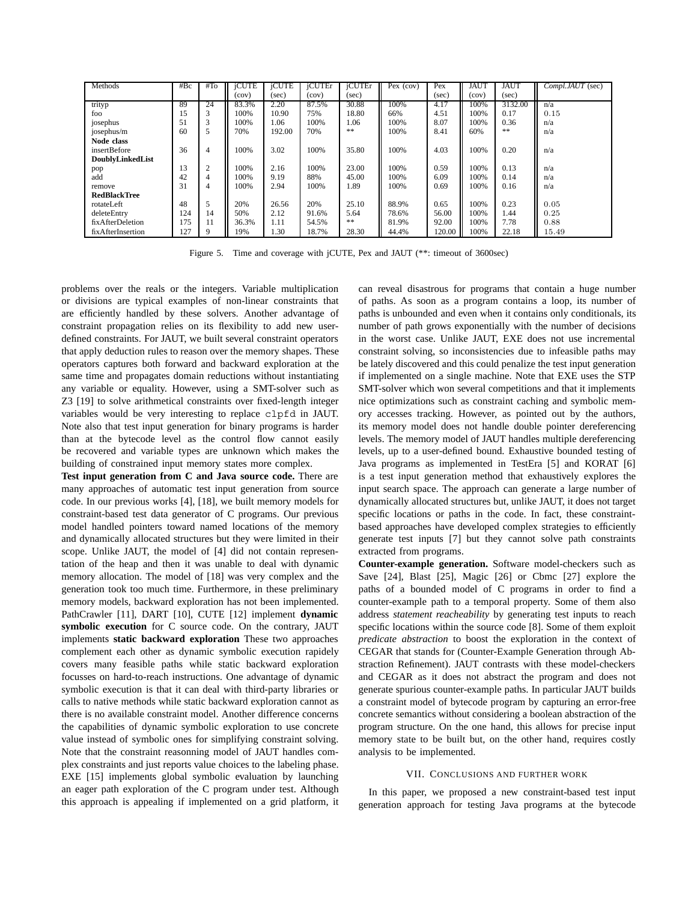| Methods             | #Bc | #To            | iCUTE | iCUTE  | iCUTEr | iCUTEr | Pex (cov) | Pex    | <b>JAUT</b> | <b>JAUT</b> | Compl.JAUT (sec) |
|---------------------|-----|----------------|-------|--------|--------|--------|-----------|--------|-------------|-------------|------------------|
|                     |     |                | (cov) | (sec)  | (cov)  | (sec)  |           | (sec)  | (cov)       | (sec)       |                  |
| trityp              | 89  | 24             | 83.3% | 2.20   | 87.5%  | 30.88  | 100%      | 4.17   | 100%        | 3132.00     | n/a              |
| foo                 | 15  | 3              | 100%  | 10.90  | 75%    | 18.80  | 66%       | 4.51   | 100%        | 0.17        | 0.15             |
| josephus            | 51  |                | 100%  | 0.06   | 100%   | 1.06   | 100%      | 8.07   | 100%        | 0.36        | n/a              |
| josephus/m          | 60  |                | 70%   | 192.00 | 70%    | **     | 100%      | 8.41   | 60%         | **          | n/a              |
| Node class          |     |                |       |        |        |        |           |        |             |             |                  |
| insertBefore        | 36  | $\overline{4}$ | 100%  | 3.02   | 100%   | 35.80  | 100%      | 4.03   | 100%        | 0.20        | n/a              |
| DoublyLinkedList    |     |                |       |        |        |        |           |        |             |             |                  |
| pop                 | 13  | 2              | 100%  | 2.16   | 100%   | 23.00  | 100%      | 0.59   | 100%        | 0.13        | n/a              |
| add                 | 42  | 4              | 100%  | 9.19   | 88%    | 45.00  | 100%      | 6.09   | 100%        | 0.14        | n/a              |
| remove              | 31  | $\overline{4}$ | 100%  | 2.94   | 100%   | 1.89   | 100%      | 0.69   | 100%        | 0.16        | n/a              |
| <b>RedBlackTree</b> |     |                |       |        |        |        |           |        |             |             |                  |
| rotateLeft          | 48  |                | 20%   | 26.56  | 20%    | 25.10  | 88.9%     | 0.65   | 100%        | 0.23        | 0.05             |
| deleteEntry         | 124 | 14             | 50%   | 2.12   | 91.6%  | 5.64   | 78.6%     | 56.00  | 100%        | 1.44        | 0.25             |
| fixAfterDeletion    | 175 | 11             | 36.3% | 1.11   | 54.5%  | **     | 81.9%     | 92.00  | 100%        | 7.78        | 0.88             |
| fixAfterInsertion   | 127 | 9              | 19%   | L.30   | 18.7%  | 28.30  | 44.4%     | 120.00 | 100%        | 22.18       | 15.49            |

Figure 5. Time and coverage with jCUTE, Pex and JAUT (\*\*: timeout of 3600sec)

problems over the reals or the integers. Variable multiplication or divisions are typical examples of non-linear constraints that are efficiently handled by these solvers. Another advantage of constraint propagation relies on its flexibility to add new userdefined constraints. For JAUT, we built several constraint operators that apply deduction rules to reason over the memory shapes. These operators captures both forward and backward exploration at the same time and propagates domain reductions without instantiating any variable or equality. However, using a SMT-solver such as Z3 [19] to solve arithmetical constraints over fixed-length integer variables would be very interesting to replace clpfd in JAUT. Note also that test input generation for binary programs is harder than at the bytecode level as the control flow cannot easily be recovered and variable types are unknown which makes the building of constrained input memory states more complex.

**Test input generation from C and Java source code.** There are many approaches of automatic test input generation from source code. In our previous works [4], [18], we built memory models for constraint-based test data generator of C programs. Our previous model handled pointers toward named locations of the memory and dynamically allocated structures but they were limited in their scope. Unlike JAUT, the model of [4] did not contain representation of the heap and then it was unable to deal with dynamic memory allocation. The model of [18] was very complex and the generation took too much time. Furthermore, in these preliminary memory models, backward exploration has not been implemented. PathCrawler [11], DART [10], CUTE [12] implement **dynamic symbolic execution** for C source code. On the contrary, JAUT implements **static backward exploration** These two approaches complement each other as dynamic symbolic execution rapidely covers many feasible paths while static backward exploration focusses on hard-to-reach instructions. One advantage of dynamic symbolic execution is that it can deal with third-party libraries or calls to native methods while static backward exploration cannot as there is no available constraint model. Another difference concerns the capabilities of dynamic symbolic exploration to use concrete value instead of symbolic ones for simplifying constraint solving. Note that the constraint reasonning model of JAUT handles complex constraints and just reports value choices to the labeling phase. EXE [15] implements global symbolic evaluation by launching an eager path exploration of the C program under test. Although this approach is appealing if implemented on a grid platform, it

can reveal disastrous for programs that contain a huge number of paths. As soon as a program contains a loop, its number of paths is unbounded and even when it contains only conditionals, its number of path grows exponentially with the number of decisions in the worst case. Unlike JAUT, EXE does not use incremental constraint solving, so inconsistencies due to infeasible paths may be lately discovered and this could penalize the test input generation if implemented on a single machine. Note that EXE uses the STP SMT-solver which won several competitions and that it implements nice optimizations such as constraint caching and symbolic memory accesses tracking. However, as pointed out by the authors, its memory model does not handle double pointer dereferencing levels. The memory model of JAUT handles multiple dereferencing levels, up to a user-defined bound. Exhaustive bounded testing of Java programs as implemented in TestEra [5] and KORAT [6] is a test input generation method that exhaustively explores the input search space. The approach can generate a large number of dynamically allocated structures but, unlike JAUT, it does not target specific locations or paths in the code. In fact, these constraintbased approaches have developed complex strategies to efficiently generate test inputs [7] but they cannot solve path constraints extracted from programs.

**Counter-example generation.** Software model-checkers such as Save [24], Blast [25], Magic [26] or Cbmc [27] explore the paths of a bounded model of C programs in order to find a counter-example path to a temporal property. Some of them also address *statement reacheability* by generating test inputs to reach specific locations within the source code [8]. Some of them exploit *predicate abstraction* to boost the exploration in the context of CEGAR that stands for (Counter-Example Generation through Abstraction Refinement). JAUT contrasts with these model-checkers and CEGAR as it does not abstract the program and does not generate spurious counter-example paths. In particular JAUT builds a constraint model of bytecode program by capturing an error-free concrete semantics without considering a boolean abstraction of the program structure. On the one hand, this allows for precise input memory state to be built but, on the other hand, requires costly analysis to be implemented.

#### VII. CONCLUSIONS AND FURTHER WORK

In this paper, we proposed a new constraint-based test input generation approach for testing Java programs at the bytecode